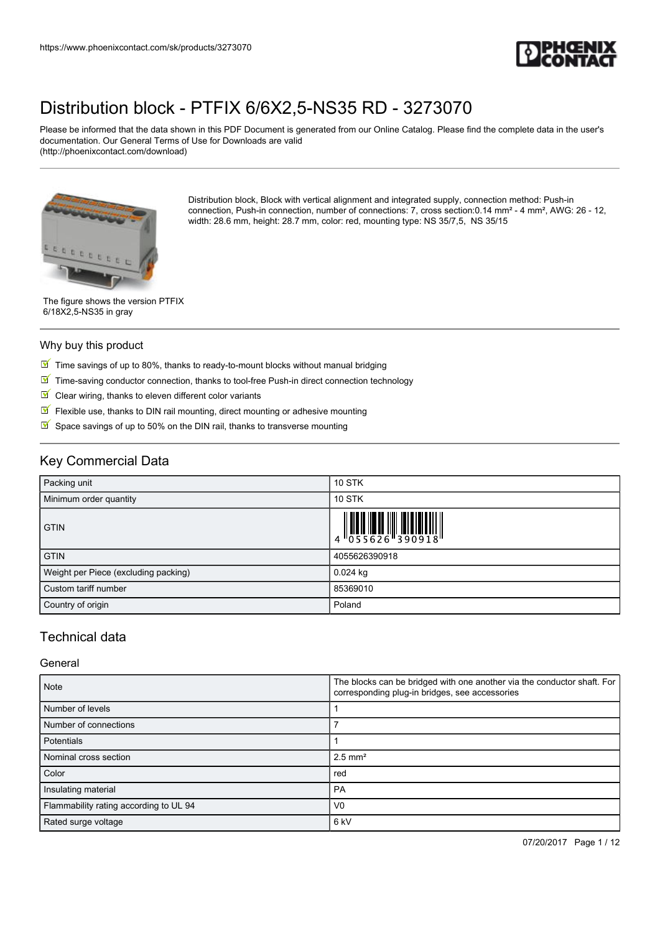

Please be informed that the data shown in this PDF Document is generated from our Online Catalog. Please find the complete data in the user's documentation. Our General Terms of Use for Downloads are valid (http://phoenixcontact.com/download)



Distribution block, Block with vertical alignment and integrated supply, connection method: Push-in connection, Push-in connection, number of connections: 7, cross section:0.14 mm² - 4 mm², AWG: 26 - 12, width: 28.6 mm, height: 28.7 mm, color: red, mounting type: NS 35/7,5, NS 35/15

The figure shows the version PTFIX 6/18X2,5-NS35 in gray

#### Why buy this product

- $\boxed{\blacksquare}$  Time savings of up to 80%, thanks to ready-to-mount blocks without manual bridging
- $\boxed{\blacksquare}$  Time-saving conductor connection, thanks to tool-free Push-in direct connection technology
- $\blacksquare$  Clear wiring, thanks to eleven different color variants
- $\sqrt{}$ Flexible use, thanks to DIN rail mounting, direct mounting or adhesive mounting
- $\triangleright$  Space savings of up to 50% on the DIN rail, thanks to transverse mounting

# Key Commercial Data

| Packing unit                         | <b>10 STK</b> |
|--------------------------------------|---------------|
| Minimum order quantity               | <b>10 STK</b> |
| <b>GTIN</b>                          |               |
| <b>GTIN</b>                          | 4055626390918 |
| Weight per Piece (excluding packing) | $0.024$ kg    |
| Custom tariff number                 | 85369010      |
| Country of origin                    | Poland        |

## Technical data

#### General

| <b>Note</b>                            | The blocks can be bridged with one another via the conductor shaft. For<br>corresponding plug-in bridges, see accessories |  |
|----------------------------------------|---------------------------------------------------------------------------------------------------------------------------|--|
| Number of levels                       |                                                                                                                           |  |
| Number of connections                  |                                                                                                                           |  |
| Potentials                             |                                                                                                                           |  |
| Nominal cross section                  | $2.5$ mm <sup>2</sup>                                                                                                     |  |
| Color                                  | red                                                                                                                       |  |
| Insulating material                    | PA                                                                                                                        |  |
| Flammability rating according to UL 94 | V <sub>0</sub>                                                                                                            |  |
| Rated surge voltage                    | 6 <sub>kV</sub>                                                                                                           |  |

07/20/2017 Page 1 / 12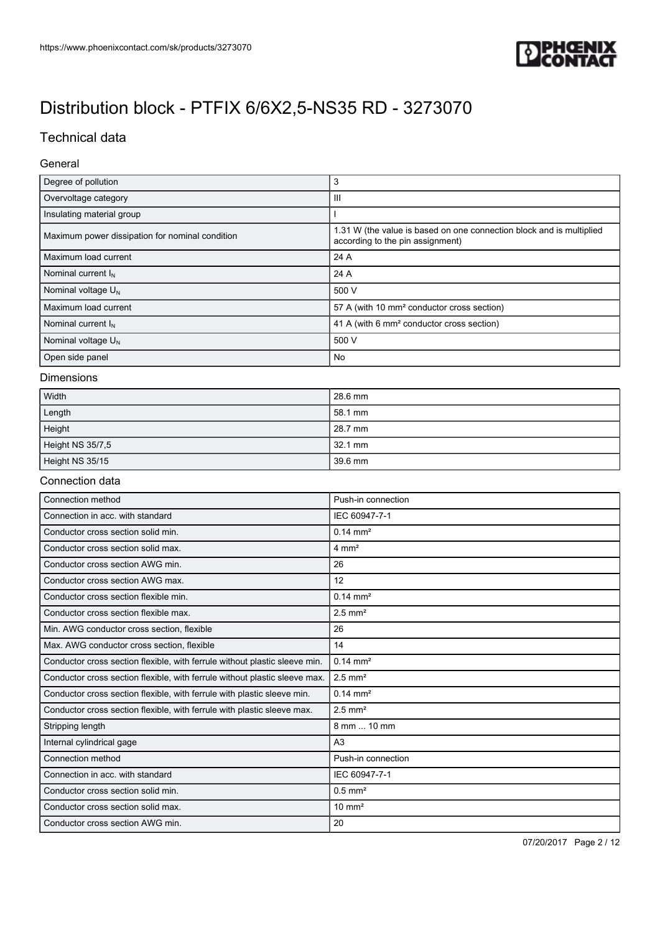

# Technical data

### General

| Degree of pollution                             | 3                                                                                                        |  |
|-------------------------------------------------|----------------------------------------------------------------------------------------------------------|--|
| Overvoltage category                            | Ш                                                                                                        |  |
| Insulating material group                       |                                                                                                          |  |
| Maximum power dissipation for nominal condition | 1.31 W (the value is based on one connection block and is multiplied<br>according to the pin assignment) |  |
| Maximum load current                            | 24 A                                                                                                     |  |
| Nominal current $I_N$                           | 24 A                                                                                                     |  |
| Nominal voltage $U_N$                           | 500 V                                                                                                    |  |
| Maximum load current                            | 57 A (with 10 mm <sup>2</sup> conductor cross section)                                                   |  |
| Nominal current $I_N$                           | 41 A (with 6 mm <sup>2</sup> conductor cross section)                                                    |  |
| Nominal voltage $U_N$                           | 500 V                                                                                                    |  |
| Open side panel                                 | No                                                                                                       |  |

#### Dimensions

| Width            | 28.6 mm |
|------------------|---------|
| Length           | 58.1 mm |
| Height           | 28.7 mm |
| Height NS 35/7,5 | 32.1 mm |
| Height NS 35/15  | 39.6 mm |

#### Connection data

| Connection method                                                          | Push-in connection    |
|----------------------------------------------------------------------------|-----------------------|
| Connection in acc. with standard                                           | IEC 60947-7-1         |
| Conductor cross section solid min.                                         | $0.14 \text{ mm}^2$   |
| Conductor cross section solid max.                                         | $4 \text{ mm}^2$      |
| Conductor cross section AWG min.                                           | 26                    |
| Conductor cross section AWG max.                                           | 12                    |
| Conductor cross section flexible min.                                      | $0.14 \, \text{mm}^2$ |
| Conductor cross section flexible max.                                      | $2.5$ mm <sup>2</sup> |
| Min. AWG conductor cross section, flexible                                 | 26                    |
| Max. AWG conductor cross section, flexible                                 | 14                    |
| Conductor cross section flexible, with ferrule without plastic sleeve min. | $0.14 \text{ mm}^2$   |
| Conductor cross section flexible, with ferrule without plastic sleeve max. | $2.5$ mm <sup>2</sup> |
| Conductor cross section flexible, with ferrule with plastic sleeve min.    | $0.14 \, \text{mm}^2$ |
| Conductor cross section flexible, with ferrule with plastic sleeve max.    | $2.5$ mm <sup>2</sup> |
| Stripping length                                                           | 8 mm  10 mm           |
| Internal cylindrical gage                                                  | A <sub>3</sub>        |
| Connection method                                                          | Push-in connection    |
| Connection in acc. with standard                                           | IEC 60947-7-1         |
| Conductor cross section solid min.                                         | $0.5$ mm <sup>2</sup> |
| Conductor cross section solid max.                                         | $10 \text{ mm}^2$     |
| Conductor cross section AWG min.                                           | 20                    |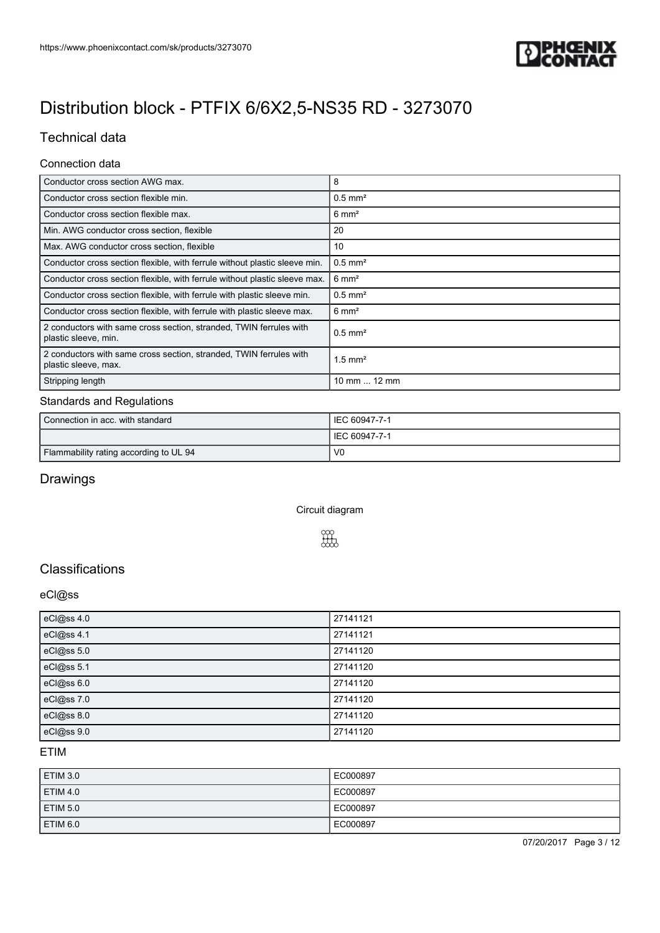

# Technical data

### Connection data

| Conductor cross section AWG max.                                                           | 8                     |
|--------------------------------------------------------------------------------------------|-----------------------|
| Conductor cross section flexible min.                                                      | $0.5$ mm <sup>2</sup> |
| Conductor cross section flexible max.                                                      | $6 \text{ mm}^2$      |
| Min. AWG conductor cross section, flexible                                                 | 20                    |
| Max. AWG conductor cross section, flexible                                                 | 10                    |
| Conductor cross section flexible, with ferrule without plastic sleeve min.                 | $0.5$ mm <sup>2</sup> |
| Conductor cross section flexible, with ferrule without plastic sleeve max.                 | $6 \text{ mm}^2$      |
| Conductor cross section flexible, with ferrule with plastic sleeve min.                    | $0.5$ mm <sup>2</sup> |
| Conductor cross section flexible, with ferrule with plastic sleeve max.                    | $6 \text{ mm}^2$      |
| 2 conductors with same cross section, stranded, TWIN ferrules with<br>plastic sleeve, min. | $0.5$ mm <sup>2</sup> |
| 2 conductors with same cross section, stranded, TWIN ferrules with<br>plastic sleeve, max. | $1.5$ mm <sup>2</sup> |
| Stripping length                                                                           | 10 mm  12 mm          |

## Standards and Regulations

| Connection in acc. with standard       | IEC 60947-7-1  |
|----------------------------------------|----------------|
|                                        | IEC 60947-7-1  |
| Flammability rating according to UL 94 | V <sub>0</sub> |

# Drawings

Circuit diagram



# **Classifications**

#### eCl@ss

| eCl@ss 4.0 | 27141121 |
|------------|----------|
| eCl@ss 4.1 | 27141121 |
| eCl@ss 5.0 | 27141120 |
| eCl@ss 5.1 | 27141120 |
| eCl@ss 6.0 | 27141120 |
| eCl@ss 7.0 | 27141120 |
| eCl@ss 8.0 | 27141120 |
| eCl@ss 9.0 | 27141120 |

#### ETIM

| ETIM 3.0 | EC000897 |
|----------|----------|
| ETIM 4.0 | EC000897 |
| ETIM 5.0 | EC000897 |
| ETIM 6.0 | EC000897 |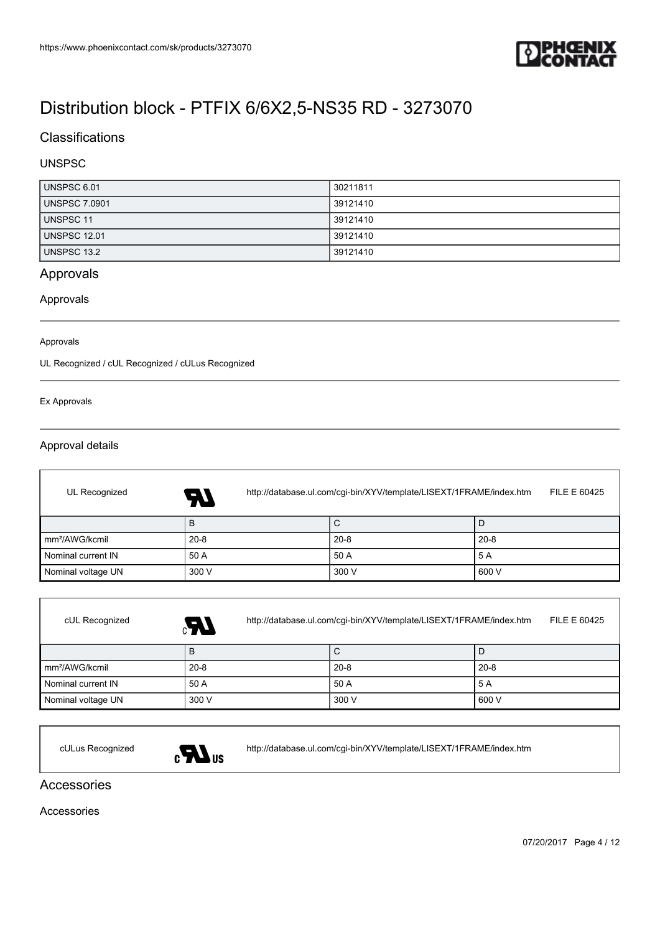

# **Classifications**

### UNSPSC

| UNSPSC 6.01          | 30211811 |
|----------------------|----------|
| <b>UNSPSC 7.0901</b> | 39121410 |
| UNSPSC 11            | 39121410 |
| <b>UNSPSC 12.01</b>  | 39121410 |
| <b>UNSPSC 13.2</b>   | 39121410 |

### Approvals

### Approvals

#### Approvals

UL Recognized / cUL Recognized / cULus Recognized

#### Ex Approvals

f

#### Approval details

| UL Recognized              | http://database.ul.com/cgi-bin/XYV/template/LISEXT/1FRAME/index.htm<br>FILE E 60425<br><b>AT</b> |          |          |  |
|----------------------------|--------------------------------------------------------------------------------------------------|----------|----------|--|
|                            | в                                                                                                | С        |          |  |
| mm <sup>2</sup> /AWG/kcmil | $20 - 8$                                                                                         | $20 - 8$ | $20 - 8$ |  |
| Nominal current IN         | 50 A                                                                                             | 50 A     | 5 A      |  |
| Nominal voltage UN         | 300 V                                                                                            | 300 V    | 600 V    |  |

| cUL Recognized             | Æ,       | http://database.ul.com/cgi-bin/XYV/template/LISEXT/1FRAME/index.htm<br>FILE E 60425 |          |  |
|----------------------------|----------|-------------------------------------------------------------------------------------|----------|--|
|                            | B        | C                                                                                   |          |  |
| mm <sup>2</sup> /AWG/kcmil | $20 - 8$ | $20 - 8$                                                                            | $20 - 8$ |  |
| Nominal current IN         | 50 A     | 50 A                                                                                | 5 A      |  |
| Nominal voltage UN         | 300 V    | 300 V                                                                               | 600 V    |  |



cULus Recognized <http://database.ul.com/cgi-bin/XYV/template/LISEXT/1FRAME/index.htm>

### Accessories

Accessories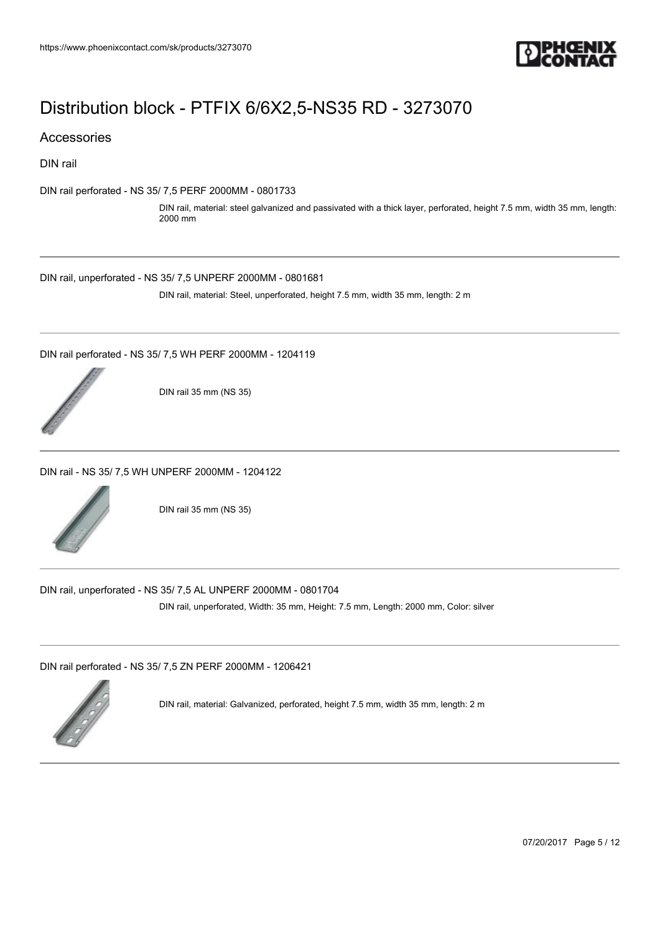

### Accessories

DIN rail

[DIN rail perforated - NS 35/ 7,5 PERF 2000MM - 0801733](https://www.phoenixcontact.com/sk/products/0801733)

DIN rail, material: steel galvanized and passivated with a thick layer, perforated, height 7.5 mm, width 35 mm, length: 2000 mm

[DIN rail, unperforated - NS 35/ 7,5 UNPERF 2000MM - 0801681](https://www.phoenixcontact.com/sk/products/0801681)

DIN rail, material: Steel, unperforated, height 7.5 mm, width 35 mm, length: 2 m

[DIN rail perforated - NS 35/ 7,5 WH PERF 2000MM - 1204119](https://www.phoenixcontact.com/sk/products/1204119)



DIN rail 35 mm (NS 35)

[DIN rail - NS 35/ 7,5 WH UNPERF 2000MM - 1204122](https://www.phoenixcontact.com/sk/products/1204122)



DIN rail 35 mm (NS 35)

[DIN rail, unperforated - NS 35/ 7,5 AL UNPERF 2000MM - 0801704](https://www.phoenixcontact.com/sk/products/0801704)

DIN rail, unperforated, Width: 35 mm, Height: 7.5 mm, Length: 2000 mm, Color: silver

[DIN rail perforated - NS 35/ 7,5 ZN PERF 2000MM - 1206421](https://www.phoenixcontact.com/sk/products/1206421)



DIN rail, material: Galvanized, perforated, height 7.5 mm, width 35 mm, length: 2 m

07/20/2017 Page 5 / 12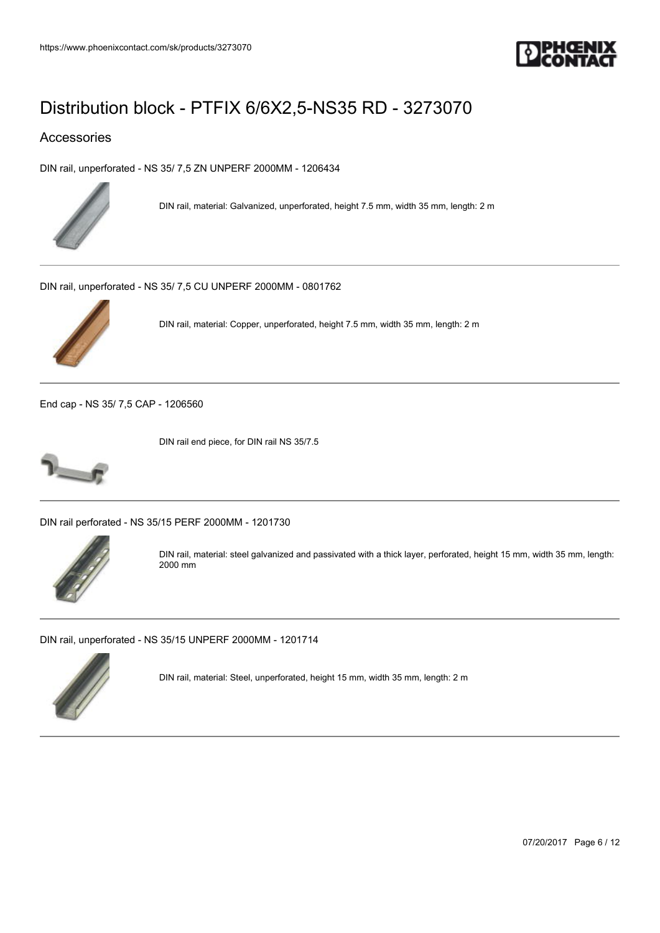

## Accessories

[DIN rail, unperforated - NS 35/ 7,5 ZN UNPERF 2000MM - 1206434](https://www.phoenixcontact.com/sk/products/1206434)



DIN rail, material: Galvanized, unperforated, height 7.5 mm, width 35 mm, length: 2 m

[DIN rail, unperforated - NS 35/ 7,5 CU UNPERF 2000MM - 0801762](https://www.phoenixcontact.com/sk/products/0801762)



DIN rail, material: Copper, unperforated, height 7.5 mm, width 35 mm, length: 2 m

[End cap - NS 35/ 7,5 CAP - 1206560](https://www.phoenixcontact.com/sk/products/1206560)



DIN rail end piece, for DIN rail NS 35/7.5

[DIN rail perforated - NS 35/15 PERF 2000MM - 1201730](https://www.phoenixcontact.com/sk/products/1201730)



DIN rail, material: steel galvanized and passivated with a thick layer, perforated, height 15 mm, width 35 mm, length: 2000 mm

[DIN rail, unperforated - NS 35/15 UNPERF 2000MM - 1201714](https://www.phoenixcontact.com/sk/products/1201714)



DIN rail, material: Steel, unperforated, height 15 mm, width 35 mm, length: 2 m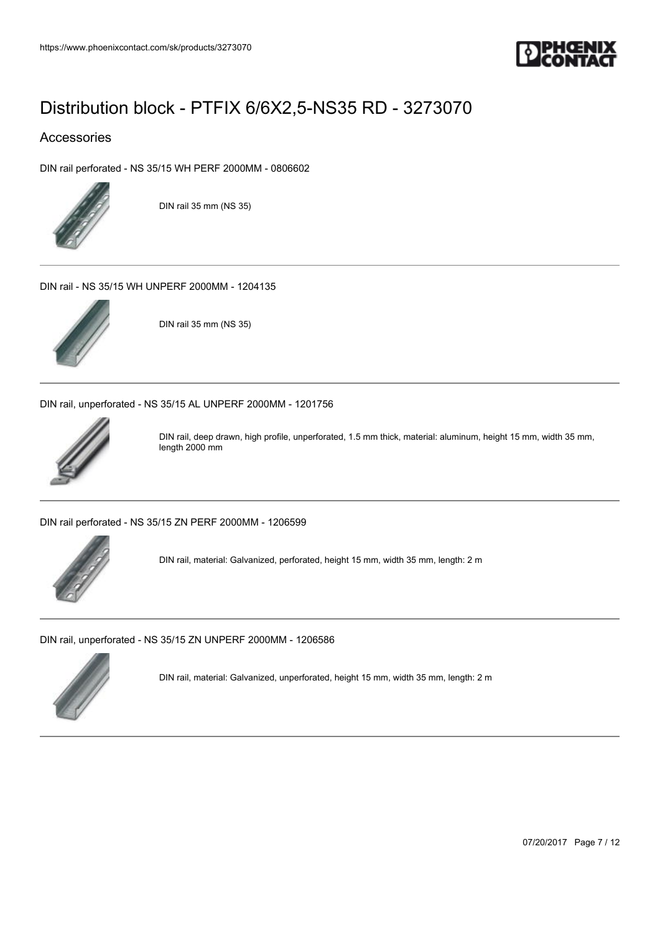

## Accessories

[DIN rail perforated - NS 35/15 WH PERF 2000MM - 0806602](https://www.phoenixcontact.com/sk/products/0806602)



DIN rail 35 mm (NS 35)

[DIN rail - NS 35/15 WH UNPERF 2000MM - 1204135](https://www.phoenixcontact.com/sk/products/1204135)



DIN rail 35 mm (NS 35)

[DIN rail, unperforated - NS 35/15 AL UNPERF 2000MM - 1201756](https://www.phoenixcontact.com/sk/products/1201756)



DIN rail, deep drawn, high profile, unperforated, 1.5 mm thick, material: aluminum, height 15 mm, width 35 mm, length 2000 mm

[DIN rail perforated - NS 35/15 ZN PERF 2000MM - 1206599](https://www.phoenixcontact.com/sk/products/1206599)



DIN rail, material: Galvanized, perforated, height 15 mm, width 35 mm, length: 2 m

[DIN rail, unperforated - NS 35/15 ZN UNPERF 2000MM - 1206586](https://www.phoenixcontact.com/sk/products/1206586)



DIN rail, material: Galvanized, unperforated, height 15 mm, width 35 mm, length: 2 m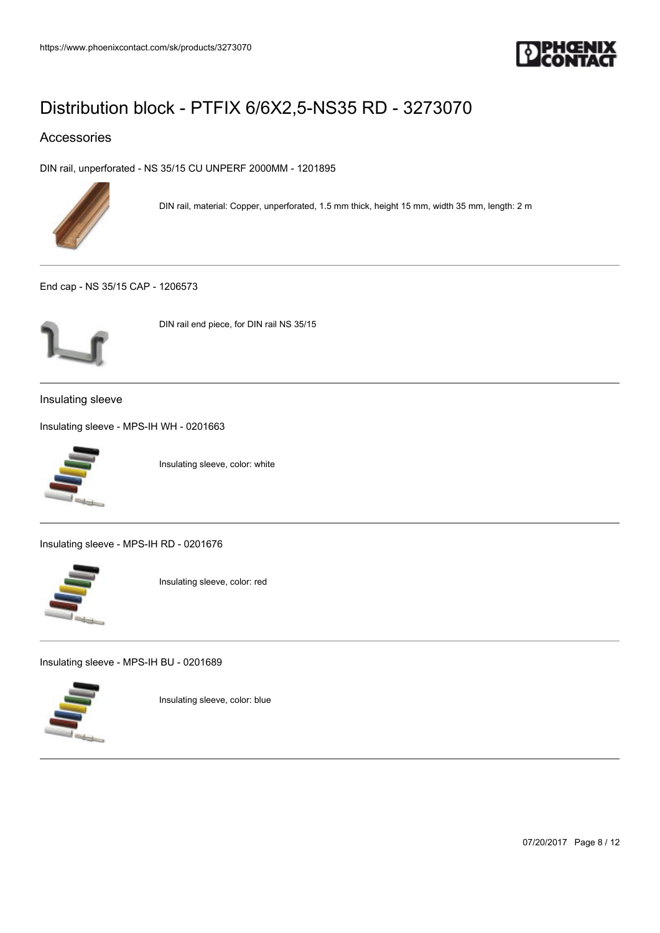

## Accessories

[DIN rail, unperforated - NS 35/15 CU UNPERF 2000MM - 1201895](https://www.phoenixcontact.com/sk/products/1201895)



DIN rail, material: Copper, unperforated, 1.5 mm thick, height 15 mm, width 35 mm, length: 2 m

[End cap - NS 35/15 CAP - 1206573](https://www.phoenixcontact.com/sk/products/1206573)



DIN rail end piece, for DIN rail NS 35/15

Insulating sleeve

[Insulating sleeve - MPS-IH WH - 0201663](https://www.phoenixcontact.com/sk/products/0201663)



Insulating sleeve, color: white

[Insulating sleeve - MPS-IH RD - 0201676](https://www.phoenixcontact.com/sk/products/0201676)



Insulating sleeve, color: red

[Insulating sleeve - MPS-IH BU - 0201689](https://www.phoenixcontact.com/sk/products/0201689)



Insulating sleeve, color: blue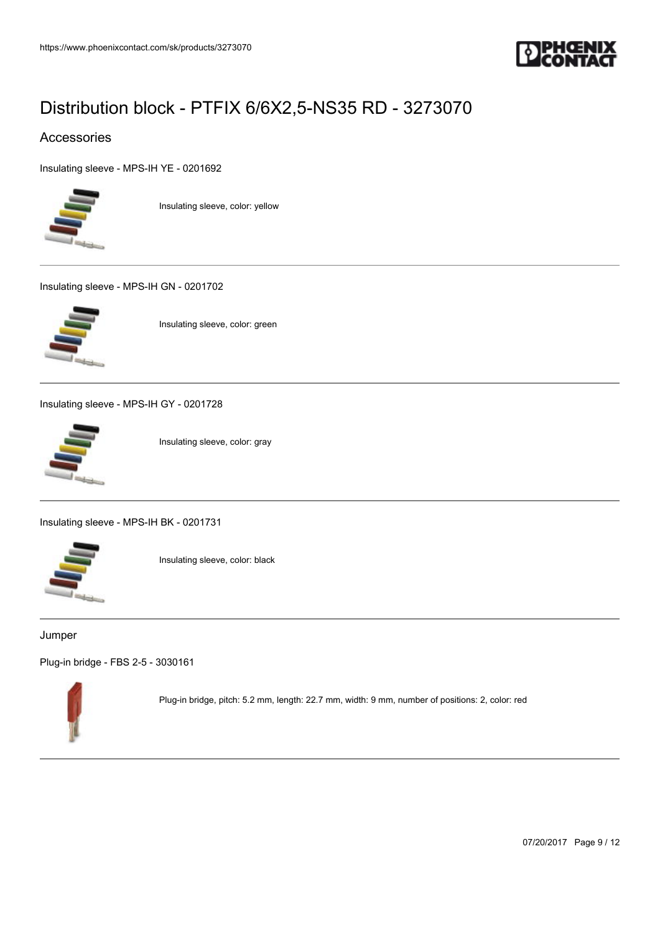

## Accessories

[Insulating sleeve - MPS-IH YE - 0201692](https://www.phoenixcontact.com/sk/products/0201692)



Insulating sleeve, color: yellow

[Insulating sleeve - MPS-IH GN - 0201702](https://www.phoenixcontact.com/sk/products/0201702)



Insulating sleeve, color: green

[Insulating sleeve - MPS-IH GY - 0201728](https://www.phoenixcontact.com/sk/products/0201728)



Insulating sleeve, color: gray

[Insulating sleeve - MPS-IH BK - 0201731](https://www.phoenixcontact.com/sk/products/0201731)



Insulating sleeve, color: black

#### Jumper

[Plug-in bridge - FBS 2-5 - 3030161](https://www.phoenixcontact.com/sk/products/3030161)



Plug-in bridge, pitch: 5.2 mm, length: 22.7 mm, width: 9 mm, number of positions: 2, color: red

07/20/2017 Page 9 / 12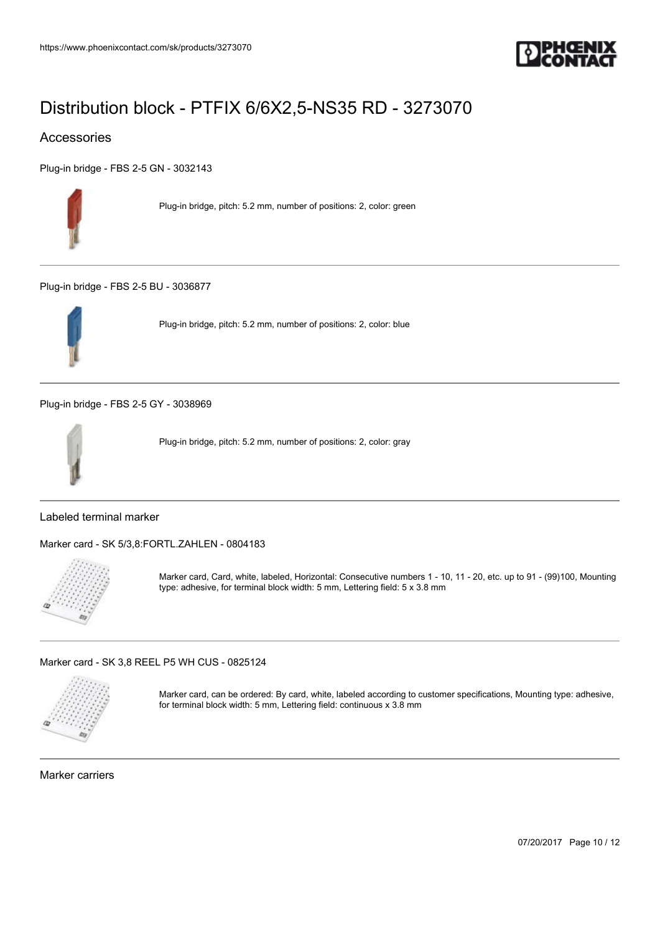

## Accessories

[Plug-in bridge - FBS 2-5 GN - 3032143](https://www.phoenixcontact.com/sk/products/3032143)



Plug-in bridge, pitch: 5.2 mm, number of positions: 2, color: green

[Plug-in bridge - FBS 2-5 BU - 3036877](https://www.phoenixcontact.com/sk/products/3036877)



Plug-in bridge, pitch: 5.2 mm, number of positions: 2, color: blue

[Plug-in bridge - FBS 2-5 GY - 3038969](https://www.phoenixcontact.com/sk/products/3038969)



Plug-in bridge, pitch: 5.2 mm, number of positions: 2, color: gray

## Labeled terminal marker

[Marker card - SK 5/3,8:FORTL.ZAHLEN - 0804183](https://www.phoenixcontact.com/sk/products/0804183)



Marker card, Card, white, labeled, Horizontal: Consecutive numbers 1 - 10, 11 - 20, etc. up to 91 - (99)100, Mounting type: adhesive, for terminal block width: 5 mm, Lettering field: 5 x 3.8 mm

[Marker card - SK 3,8 REEL P5 WH CUS - 0825124](https://www.phoenixcontact.com/sk/products/0825124)



Marker card, can be ordered: By card, white, labeled according to customer specifications, Mounting type: adhesive, for terminal block width: 5 mm, Lettering field: continuous x 3.8 mm

Marker carriers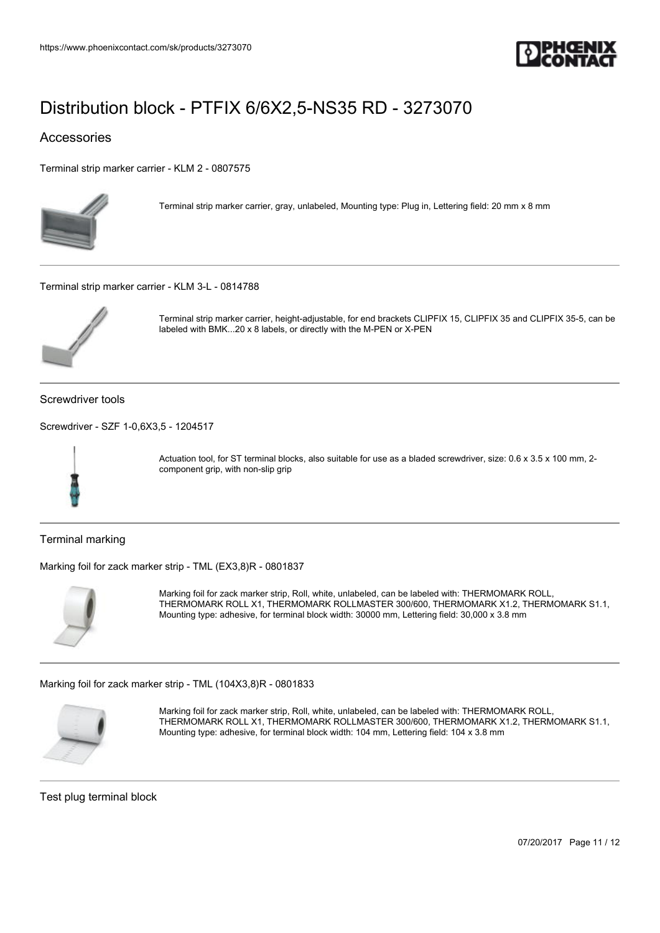

## Accessories

[Terminal strip marker carrier - KLM 2 - 0807575](https://www.phoenixcontact.com/sk/products/0807575)



Terminal strip marker carrier, gray, unlabeled, Mounting type: Plug in, Lettering field: 20 mm x 8 mm

[Terminal strip marker carrier - KLM 3-L - 0814788](https://www.phoenixcontact.com/sk/products/0814788)



Terminal strip marker carrier, height-adjustable, for end brackets CLIPFIX 15, CLIPFIX 35 and CLIPFIX 35-5, can be labeled with BMK...20 x 8 labels, or directly with the M-PEN or X-PEN

Screwdriver tools

[Screwdriver - SZF 1-0,6X3,5 - 1204517](https://www.phoenixcontact.com/sk/products/1204517)



Actuation tool, for ST terminal blocks, also suitable for use as a bladed screwdriver, size: 0.6 x 3.5 x 100 mm, 2component grip, with non-slip grip

Terminal marking

[Marking foil for zack marker strip - TML \(EX3,8\)R - 0801837](https://www.phoenixcontact.com/sk/products/0801837)



Marking foil for zack marker strip, Roll, white, unlabeled, can be labeled with: THERMOMARK ROLL, THERMOMARK ROLL X1, THERMOMARK ROLLMASTER 300/600, THERMOMARK X1.2, THERMOMARK S1.1, Mounting type: adhesive, for terminal block width: 30000 mm, Lettering field: 30,000 x 3.8 mm

[Marking foil for zack marker strip - TML \(104X3,8\)R - 0801833](https://www.phoenixcontact.com/sk/products/0801833)



Marking foil for zack marker strip, Roll, white, unlabeled, can be labeled with: THERMOMARK ROLL, THERMOMARK ROLL X1, THERMOMARK ROLLMASTER 300/600, THERMOMARK X1.2, THERMOMARK S1.1, Mounting type: adhesive, for terminal block width: 104 mm, Lettering field: 104 x 3.8 mm

Test plug terminal block